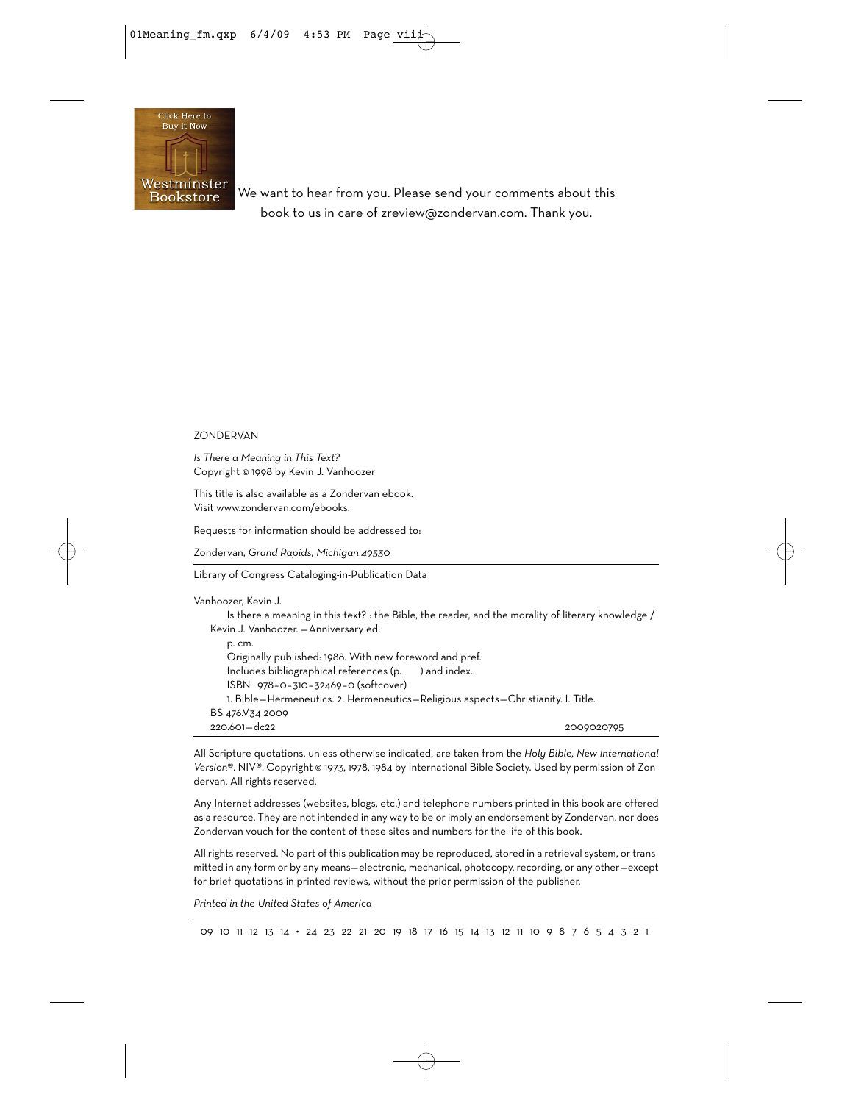

We want to hear from you. Please send your comments about this book to us in care of zreview@zondervan.com. Thank you.

#### ZONDERVAN

*Is There a Meaning in This Text?* Copyright © 1998 by Kevin J. Vanhoozer

This title is also available as a Zondervan ebook. Visit www.zondervan.com/ebooks.

Requests for information should be addressed to:

Zondervan, *Grand Rapids, Michigan 49530*

Library of Congress Cataloging-in-Publication Data

Vanhoozer, Kevin J.

Is there a meaning in this text? : the Bible, the reader, and the morality of literary knowledge / Kevin J. Vanhoozer. —Anniversary ed. p. cm. Originally published: 1988. With new foreword and pref. Includes bibliographical references (p. ) and index. ISBN 978–0–310–32469–0 (softcover) 1. Bible—Hermeneutics. 2. Hermeneutics—Religious aspects—Christianity. I. Title. BS 476.V34 2009 220.601—dc22 2009020795

All Scripture quotations, unless otherwise indicated, are taken from the *Holy Bible, New International Version*®. NIV®. Copyright © 1973, 1978, 1984 by International Bible Society. Used by permission of Zondervan. All rights reserved.

Any Internet addresses (websites, blogs, etc.) and telephone numbers printed in this book are offered as a resource. They are not intended in any way to be or imply an endorsement by Zondervan, nor does Zondervan vouch for the content of these sites and numbers for the life of this book.

All rights reserved. No part of this publication may be reproduced, stored in a retrieval system, or transmitted in any form or by any means—electronic, mechanical, photocopy, recording, or any other—except for brief quotations in printed reviews, without the prior permission of the publisher.

*Printed in the United States of America*

09 10 11 12 13 14 • 24 23 22 21 20 19 18 17 16 15 14 13 12 11 10 9 8 7 6 5 4 3 2 1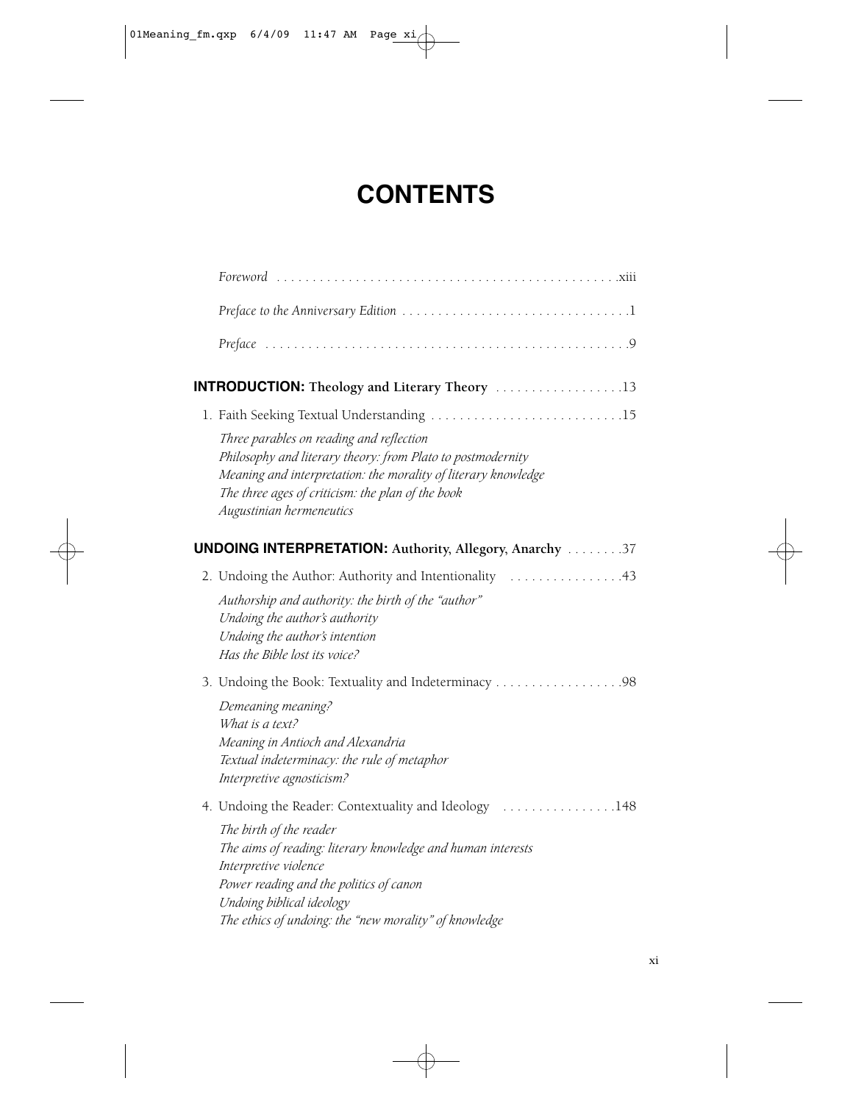# **CONTENTS**

| <b>INTRODUCTION:</b> Theology and Literary Theory 13           |                                                                                                                                                                                                                                                            |  |
|----------------------------------------------------------------|------------------------------------------------------------------------------------------------------------------------------------------------------------------------------------------------------------------------------------------------------------|--|
|                                                                | 1. Faith Seeking Textual Understanding 15                                                                                                                                                                                                                  |  |
|                                                                | Three parables on reading and reflection<br>Philosophy and literary theory: from Plato to postmodernity<br>Meaning and interpretation: the morality of literary knowledge<br>The three ages of criticism: the plan of the book<br>Augustinian hermeneutics |  |
| <b>UNDOING INTERPRETATION:</b> Authority, Allegory, Anarchy 37 |                                                                                                                                                                                                                                                            |  |
|                                                                | 2. Undoing the Author: Authority and Intentionality 43                                                                                                                                                                                                     |  |
|                                                                | Authorship and authority: the birth of the "author"<br>Undoing the author's authority<br>Undoing the author's intention<br>Has the Bible lost its voice?                                                                                                   |  |
|                                                                | 3. Undoing the Book: Textuality and Indeterminacy 98                                                                                                                                                                                                       |  |
|                                                                | Demeaning meaning?<br>What is a text?<br>Meaning in Antioch and Alexandria<br>Textual indeterminacy: the rule of metaphor<br>Interpretive agnosticism?                                                                                                     |  |
|                                                                | 4. Undoing the Reader: Contextuality and Ideology [1, 1, 1, 1, 1, 1, 148]                                                                                                                                                                                  |  |
|                                                                | The birth of the reader<br>The aims of reading: literary knowledge and human interests<br>Interpretive violence<br>Power reading and the politics of canon<br>Undoing biblical ideology<br>The ethics of undoing: the "new morality" of knowledge          |  |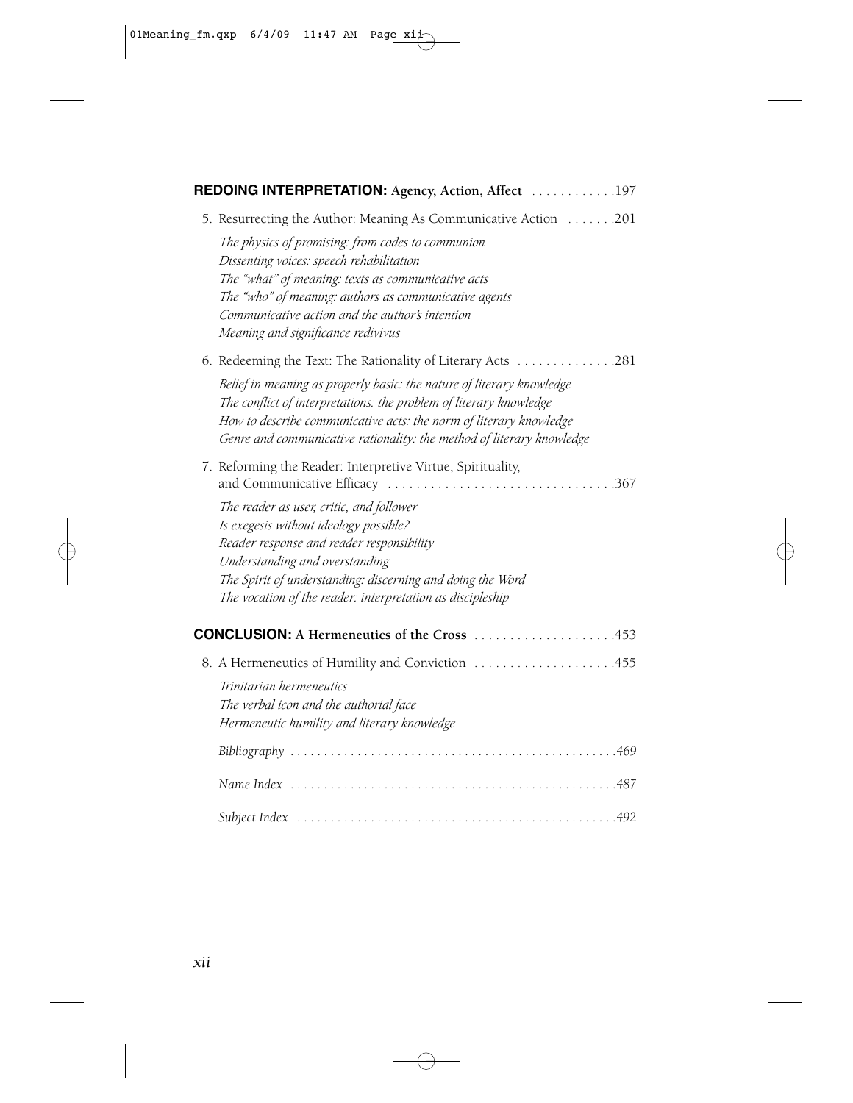| <b>REDOING INTERPRETATION:</b> Agency, Action, Affect 197                                                                                                                                                                                                                                             |
|-------------------------------------------------------------------------------------------------------------------------------------------------------------------------------------------------------------------------------------------------------------------------------------------------------|
| 5. Resurrecting the Author: Meaning As Communicative Action 201                                                                                                                                                                                                                                       |
| The physics of promising: from codes to communion<br>Dissenting voices: speech rehabilitation<br>The "what" of meaning: texts as communicative acts<br>The "who" of meaning: authors as communicative agents<br>Communicative action and the author's intention<br>Meaning and significance redivivus |
| 6. Redeeming the Text: The Rationality of Literary Acts 281                                                                                                                                                                                                                                           |
| Belief in meaning as properly basic: the nature of literary knowledge<br>The conflict of interpretations: the problem of literary knowledge<br>How to describe communicative acts: the norm of literary knowledge<br>Genre and communicative rationality: the method of literary knowledge            |
| 7. Reforming the Reader: Interpretive Virtue, Spirituality,                                                                                                                                                                                                                                           |
| The reader as user, critic, and follower<br>Is exegesis without ideology possible?<br>Reader response and reader responsibility<br>Understanding and overstanding<br>The Spirit of understanding: discerning and doing the Word<br>The vocation of the reader: interpretation as discipleship         |
| <b>CONCLUSION:</b> A Hermeneutics of the Cross 453                                                                                                                                                                                                                                                    |
| 8. A Hermeneutics of Humility and Conviction 455                                                                                                                                                                                                                                                      |
| Trinitarian hermeneutics<br>The verbal icon and the authorial face<br>Hermeneutic humility and literary knowledge                                                                                                                                                                                     |
|                                                                                                                                                                                                                                                                                                       |
|                                                                                                                                                                                                                                                                                                       |
|                                                                                                                                                                                                                                                                                                       |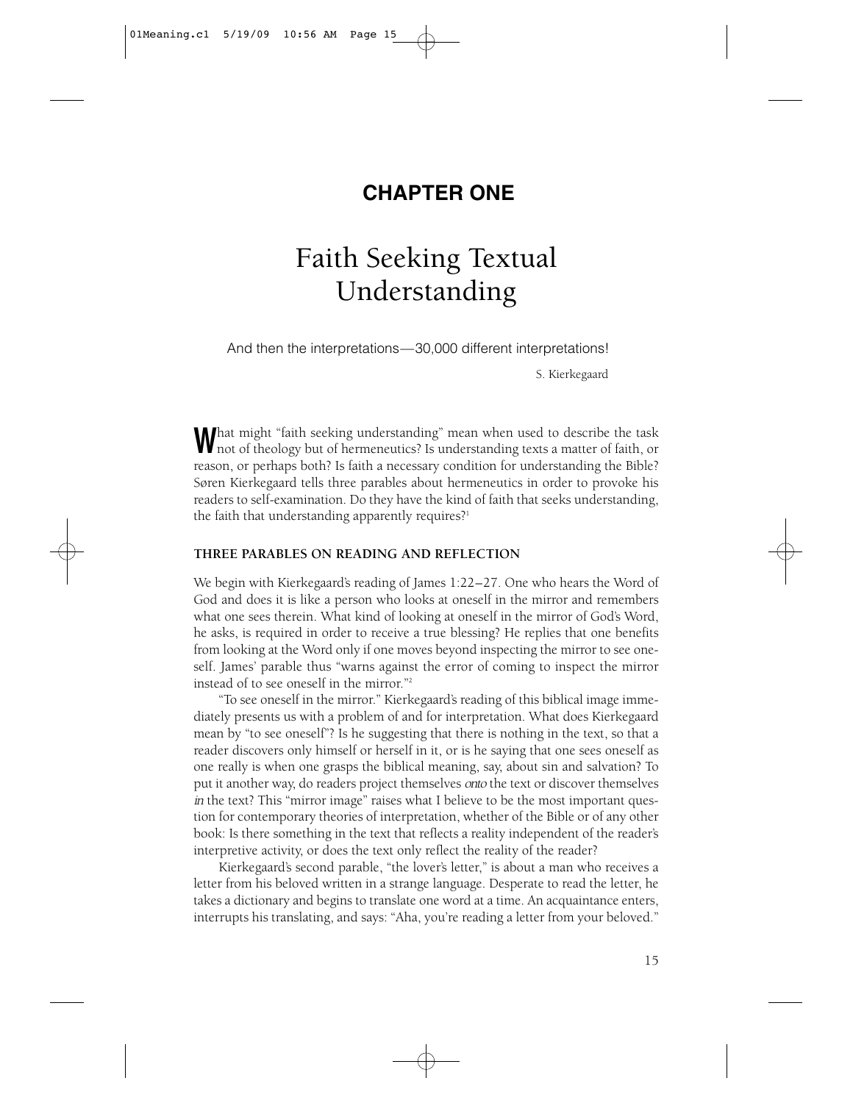## **CHAPTER ONE**

# Faith Seeking Textual Understanding

And then the interpretations—30,000 different interpretations!

S. Kierkegaard

What might "faith seeking understanding" mean when used to describe the task not of theology but of hermeneutics? Is understanding texts a matter of faith, or reason, or perhaps both? Is faith a necessary condition for understanding the Bible? Søren Kierkegaard tells three parables about hermeneutics in order to provoke his readers to self-examination. Do they have the kind of faith that seeks understanding, the faith that understanding apparently requires? $1$ 

### **THREE PARABLES ON READING AND REFLECTION**

We begin with Kierkegaard's reading of James 1:22–27. One who hears the Word of God and does it is like a person who looks at oneself in the mirror and remembers what one sees therein. What kind of looking at oneself in the mirror of God's Word, he asks, is required in order to receive a true blessing? He replies that one benefits from looking at the Word only if one moves beyond inspecting the mirror to see oneself. James' parable thus "warns against the error of coming to inspect the mirror instead of to see oneself in the mirror."2

"To see oneself in the mirror." Kierkegaard's reading of this biblical image immediately presents us with a problem of and for interpretation. What does Kierkegaard mean by "to see oneself"? Is he suggesting that there is nothing in the text, so that a reader discovers only himself or herself in it, or is he saying that one sees oneself as one really is when one grasps the biblical meaning, say, about sin and salvation? To put it another way, do readers project themselves onto the text or discover themselves in the text? This "mirror image" raises what I believe to be the most important question for contemporary theories of interpretation, whether of the Bible or of any other book: Is there something in the text that reflects a reality independent of the reader's interpretive activity, or does the text only reflect the reality of the reader?

Kierkegaard's second parable, "the lover's letter," is about a man who receives a letter from his beloved written in a strange language. Desperate to read the letter, he takes a dictionary and begins to translate one word at a time. An acquaintance enters, interrupts his translating, and says: "Aha, you're reading a letter from your beloved."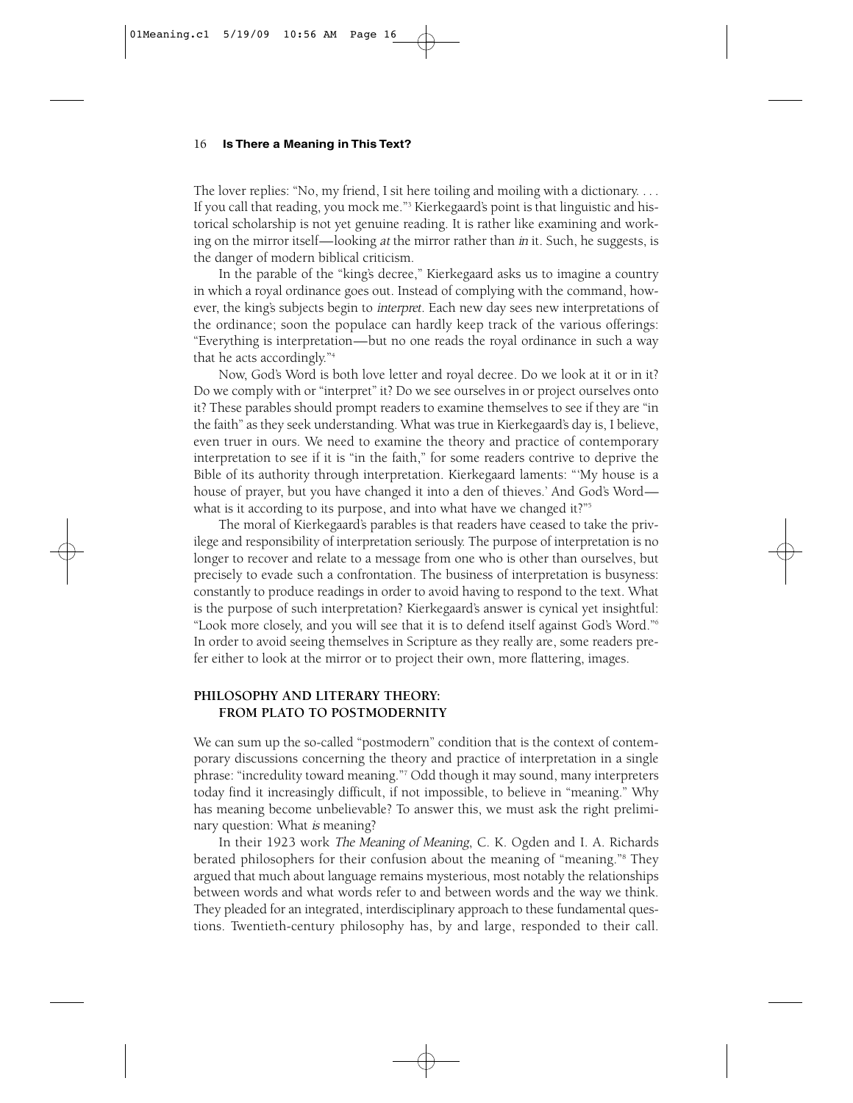The lover replies: "No, my friend, I sit here toiling and moiling with a dictionary. . . . If you call that reading, you mock me."<sup>3</sup> Kierkegaard's point is that linguistic and historical scholarship is not yet genuine reading. It is rather like examining and working on the mirror itself—looking at the mirror rather than in it. Such, he suggests, is the danger of modern biblical criticism.

In the parable of the "king's decree," Kierkegaard asks us to imagine a country in which a royal ordinance goes out. Instead of complying with the command, however, the king's subjects begin to interpret. Each new day sees new interpretations of the ordinance; soon the populace can hardly keep track of the various offerings: "Everything is interpretation—but no one reads the royal ordinance in such a way that he acts accordingly."4

Now, God's Word is both love letter and royal decree. Do we look at it or in it? Do we comply with or "interpret" it? Do we see ourselves in or project ourselves onto it? These parables should prompt readers to examine themselves to see if they are "in the faith" as they seek understanding. What was true in Kierkegaard's day is, I believe, even truer in ours. We need to examine the theory and practice of contemporary interpretation to see if it is "in the faith," for some readers contrive to deprive the Bible of its authority through interpretation. Kierkegaard laments: "'My house is a house of prayer, but you have changed it into a den of thieves.' And God's Word what is it according to its purpose, and into what have we changed it?"<sup>5</sup>

The moral of Kierkegaard's parables is that readers have ceased to take the privilege and responsibility of interpretation seriously. The purpose of interpretation is no longer to recover and relate to a message from one who is other than ourselves, but precisely to evade such a confrontation. The business of interpretation is busyness: constantly to produce readings in order to avoid having to respond to the text. What is the purpose of such interpretation? Kierkegaard's answer is cynical yet insightful: "Look more closely, and you will see that it is to defend itself against God's Word."6 In order to avoid seeing themselves in Scripture as they really are, some readers prefer either to look at the mirror or to project their own, more flattering, images.

### **PHILOSOPHY AND LITERARY THEORY: FROM PLATO TO POSTMODERNITY**

We can sum up the so-called "postmodern" condition that is the context of contemporary discussions concerning the theory and practice of interpretation in a single phrase: "incredulity toward meaning."7 Odd though it may sound, many interpreters today find it increasingly difficult, if not impossible, to believe in "meaning." Why has meaning become unbelievable? To answer this, we must ask the right preliminary question: What is meaning?

In their 1923 work The Meaning of Meaning, C. K. Ogden and I. A. Richards berated philosophers for their confusion about the meaning of "meaning."8 They argued that much about language remains mysterious, most notably the relationships between words and what words refer to and between words and the way we think. They pleaded for an integrated, interdisciplinary approach to these fundamental questions. Twentieth-century philosophy has, by and large, responded to their call.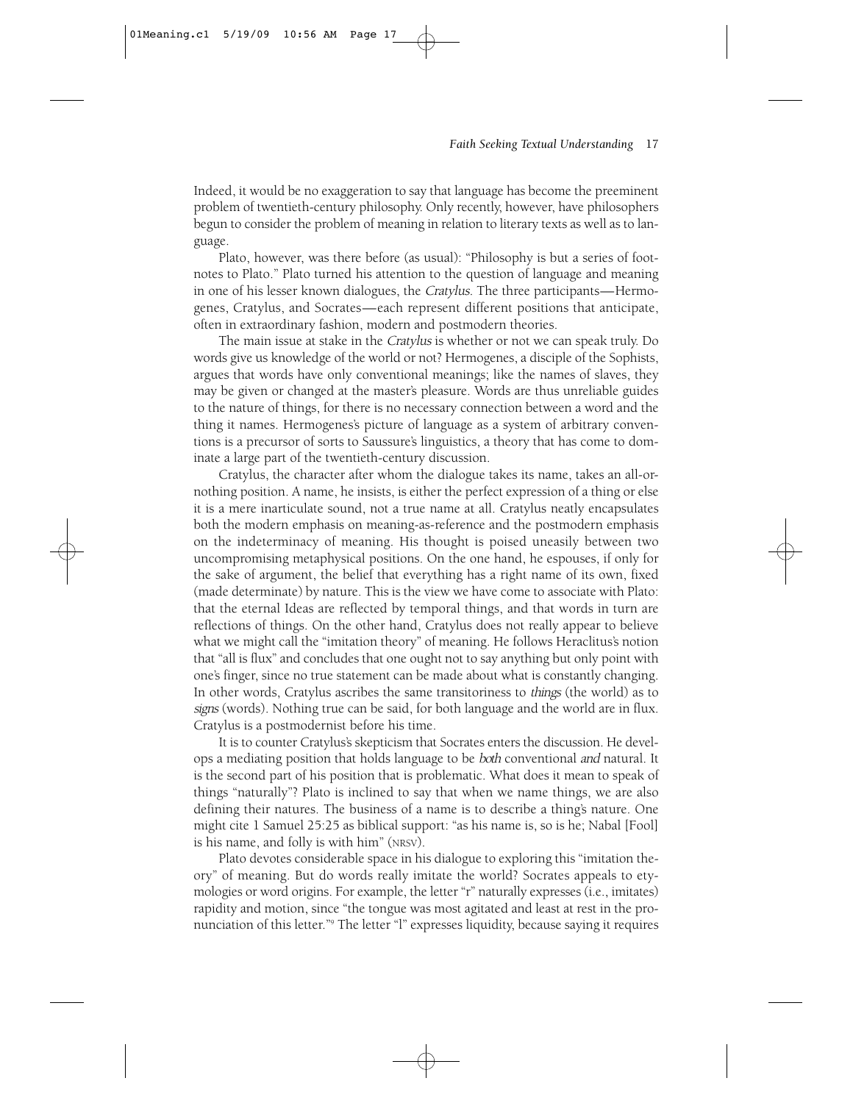Indeed, it would be no exaggeration to say that language has become the preeminent problem of twentieth-century philosophy. Only recently, however, have philosophers begun to consider the problem of meaning in relation to literary texts as well as to language.

Plato, however, was there before (as usual): "Philosophy is but a series of footnotes to Plato." Plato turned his attention to the question of language and meaning in one of his lesser known dialogues, the Cratylus. The three participants—Hermogenes, Cratylus, and Socrates—each represent different positions that anticipate, often in extraordinary fashion, modern and postmodern theories.

The main issue at stake in the Cratylus is whether or not we can speak truly. Do words give us knowledge of the world or not? Hermogenes, a disciple of the Sophists, argues that words have only conventional meanings; like the names of slaves, they may be given or changed at the master's pleasure. Words are thus unreliable guides to the nature of things, for there is no necessary connection between a word and the thing it names. Hermogenes's picture of language as a system of arbitrary conventions is a precursor of sorts to Saussure's linguistics, a theory that has come to dominate a large part of the twentieth-century discussion.

Cratylus, the character after whom the dialogue takes its name, takes an all-ornothing position. A name, he insists, is either the perfect expression of a thing or else it is a mere inarticulate sound, not a true name at all. Cratylus neatly encapsulates both the modern emphasis on meaning-as-reference and the postmodern emphasis on the indeterminacy of meaning. His thought is poised uneasily between two uncompromising metaphysical positions. On the one hand, he espouses, if only for the sake of argument, the belief that everything has a right name of its own, fixed (made determinate) by nature. This is the view we have come to associate with Plato: that the eternal Ideas are reflected by temporal things, and that words in turn are reflections of things. On the other hand, Cratylus does not really appear to believe what we might call the "imitation theory" of meaning. He follows Heraclitus's notion that "all is flux" and concludes that one ought not to say anything but only point with one's finger, since no true statement can be made about what is constantly changing. In other words, Cratylus ascribes the same transitoriness to things (the world) as to signs (words). Nothing true can be said, for both language and the world are in flux. Cratylus is a postmodernist before his time.

It is to counter Cratylus's skepticism that Socrates enters the discussion. He develops a mediating position that holds language to be both conventional and natural. It is the second part of his position that is problematic. What does it mean to speak of things "naturally"? Plato is inclined to say that when we name things, we are also defining their natures. The business of a name is to describe a thing's nature. One might cite 1 Samuel 25:25 as biblical support: "as his name is, so is he; Nabal [Fool] is his name, and folly is with him" (NRSV).

Plato devotes considerable space in his dialogue to exploring this "imitation theory" of meaning. But do words really imitate the world? Socrates appeals to etymologies or word origins. For example, the letter "r" naturally expresses (i.e., imitates) rapidity and motion, since "the tongue was most agitated and least at rest in the pronunciation of this letter."9 The letter "l" expresses liquidity, because saying it requires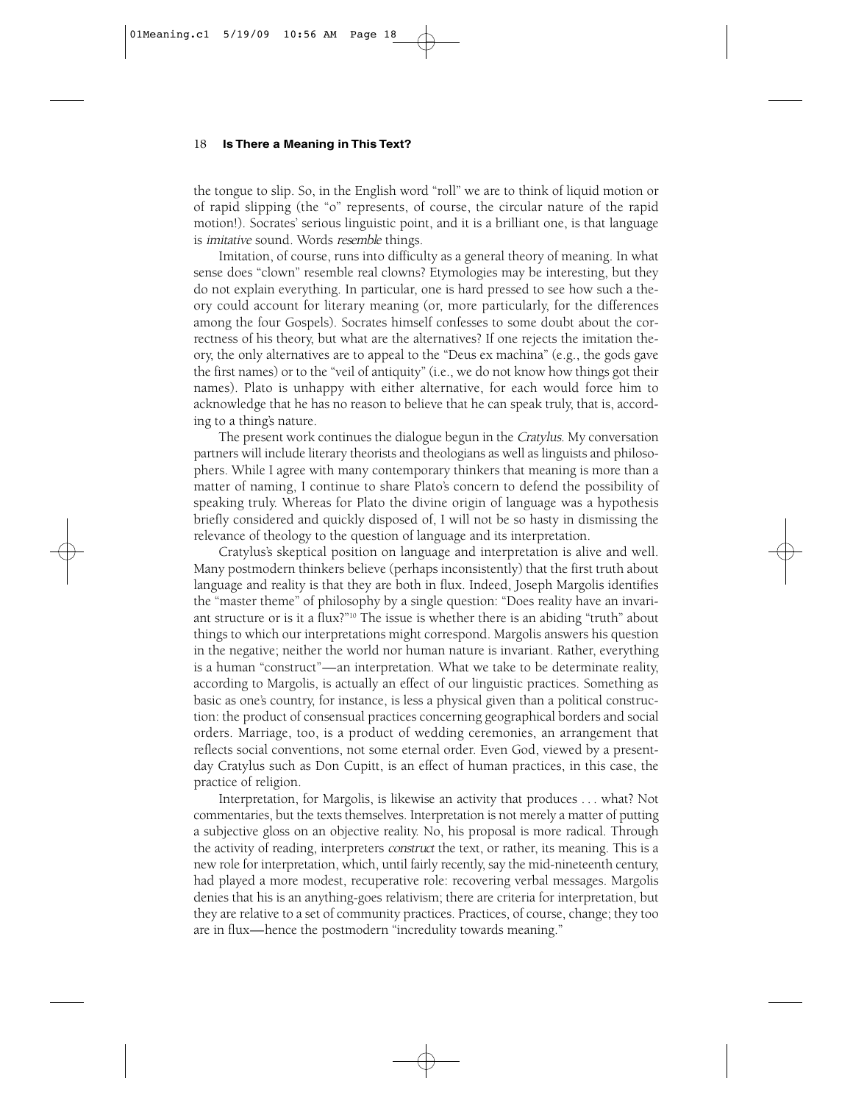the tongue to slip. So, in the English word "roll" we are to think of liquid motion or of rapid slipping (the "o" represents, of course, the circular nature of the rapid motion!). Socrates' serious linguistic point, and it is a brilliant one, is that language is imitative sound. Words resemble things.

Imitation, of course, runs into difficulty as a general theory of meaning. In what sense does "clown" resemble real clowns? Etymologies may be interesting, but they do not explain everything. In particular, one is hard pressed to see how such a theory could account for literary meaning (or, more particularly, for the differences among the four Gospels). Socrates himself confesses to some doubt about the correctness of his theory, but what are the alternatives? If one rejects the imitation theory, the only alternatives are to appeal to the "Deus ex machina" (e.g., the gods gave the first names) or to the "veil of antiquity" (i.e., we do not know how things got their names). Plato is unhappy with either alternative, for each would force him to acknowledge that he has no reason to believe that he can speak truly, that is, according to a thing's nature.

The present work continues the dialogue begun in the Cratylus. My conversation partners will include literary theorists and theologians as well as linguists and philosophers. While I agree with many contemporary thinkers that meaning is more than a matter of naming, I continue to share Plato's concern to defend the possibility of speaking truly. Whereas for Plato the divine origin of language was a hypothesis briefly considered and quickly disposed of, I will not be so hasty in dismissing the relevance of theology to the question of language and its interpretation.

Cratylus's skeptical position on language and interpretation is alive and well. Many postmodern thinkers believe (perhaps inconsistently) that the first truth about language and reality is that they are both in flux. Indeed, Joseph Margolis identifies the "master theme" of philosophy by a single question: "Does reality have an invariant structure or is it a flux?"10 The issue is whether there is an abiding "truth" about things to which our interpretations might correspond. Margolis answers his question in the negative; neither the world nor human nature is invariant. Rather, everything is a human "construct"—an interpretation. What we take to be determinate reality, according to Margolis, is actually an effect of our linguistic practices. Something as basic as one's country, for instance, is less a physical given than a political construction: the product of consensual practices concerning geographical borders and social orders. Marriage, too, is a product of wedding ceremonies, an arrangement that reflects social conventions, not some eternal order. Even God, viewed by a presentday Cratylus such as Don Cupitt, is an effect of human practices, in this case, the practice of religion.

Interpretation, for Margolis, is likewise an activity that produces . . . what? Not commentaries, but the texts themselves. Interpretation is not merely a matter of putting a subjective gloss on an objective reality. No, his proposal is more radical. Through the activity of reading, interpreters construct the text, or rather, its meaning. This is a new role for interpretation, which, until fairly recently, say the mid-nineteenth century, had played a more modest, recuperative role: recovering verbal messages. Margolis denies that his is an anything-goes relativism; there are criteria for interpretation, but they are relative to a set of community practices. Practices, of course, change; they too are in flux—hence the postmodern "incredulity towards meaning."